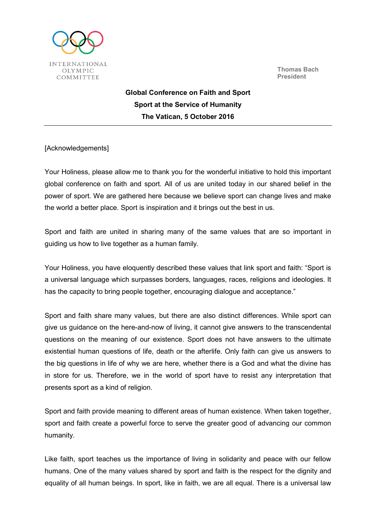



Global Conference on Faith and Sport Sport at the Service of Humanity The Vatican, 5 October 2016

[Acknowledgements]

Your Holiness, please allow me to thank you for the wonderful initiative to hold this important global conference on faith and sport. All of us are united today in our shared belief in the power of sport. We are gathered here because we believe sport can change lives and make the world a better place. Sport is inspiration and it brings out the best in us.

Sport and faith are united in sharing many of the same values that are so important in guiding us how to live together as a human family.

Your Holiness, you have eloquently described these values that link sport and faith: "Sport is a universal language which surpasses borders, languages, races, religions and ideologies. It has the capacity to bring people together, encouraging dialogue and acceptance."

Sport and faith share many values, but there are also distinct differences. While sport can give us guidance on the here-and-now of living, it cannot give answers to the transcendental questions on the meaning of our existence. Sport does not have answers to the ultimate existential human questions of life, death or the afterlife. Only faith can give us answers to the big questions in life of why we are here, whether there is a God and what the divine has in store for us. Therefore, we in the world of sport have to resist any interpretation that presents sport as a kind of religion.

Sport and faith provide meaning to different areas of human existence. When taken together, sport and faith create a powerful force to serve the greater good of advancing our common humanity.

Like faith, sport teaches us the importance of living in solidarity and peace with our fellow humans. One of the many values shared by sport and faith is the respect for the dignity and equality of all human beings. In sport, like in faith, we are all equal. There is a universal law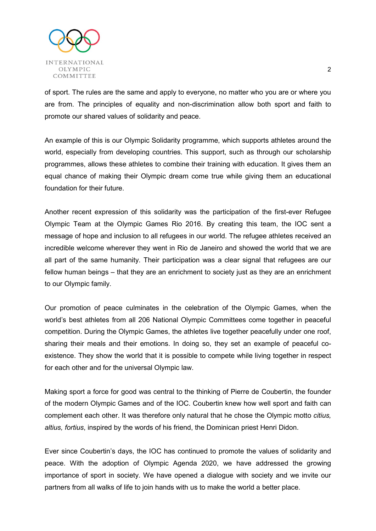

of sport. The rules are the same and apply to everyone, no matter who you are or where you are from. The principles of equality and non-discrimination allow both sport and faith to promote our shared values of solidarity and peace.

An example of this is our Olympic Solidarity programme, which supports athletes around the world, especially from developing countries. This support, such as through our scholarship programmes, allows these athletes to combine their training with education. It gives them an equal chance of making their Olympic dream come true while giving them an educational foundation for their future.

Another recent expression of this solidarity was the participation of the first-ever Refugee Olympic Team at the Olympic Games Rio 2016. By creating this team, the IOC sent a message of hope and inclusion to all refugees in our world. The refugee athletes received an incredible welcome wherever they went in Rio de Janeiro and showed the world that we are all part of the same humanity. Their participation was a clear signal that refugees are our fellow human beings – that they are an enrichment to society just as they are an enrichment to our Olympic family.

Our promotion of peace culminates in the celebration of the Olympic Games, when the world's best athletes from all 206 National Olympic Committees come together in peaceful competition. During the Olympic Games, the athletes live together peacefully under one roof, sharing their meals and their emotions. In doing so, they set an example of peaceful coexistence. They show the world that it is possible to compete while living together in respect for each other and for the universal Olympic law.

Making sport a force for good was central to the thinking of Pierre de Coubertin, the founder of the modern Olympic Games and of the IOC. Coubertin knew how well sport and faith can complement each other. It was therefore only natural that he chose the Olympic motto citius, altius, fortius, inspired by the words of his friend, the Dominican priest Henri Didon.

Ever since Coubertin's days, the IOC has continued to promote the values of solidarity and peace. With the adoption of Olympic Agenda 2020, we have addressed the growing importance of sport in society. We have opened a dialogue with society and we invite our partners from all walks of life to join hands with us to make the world a better place.